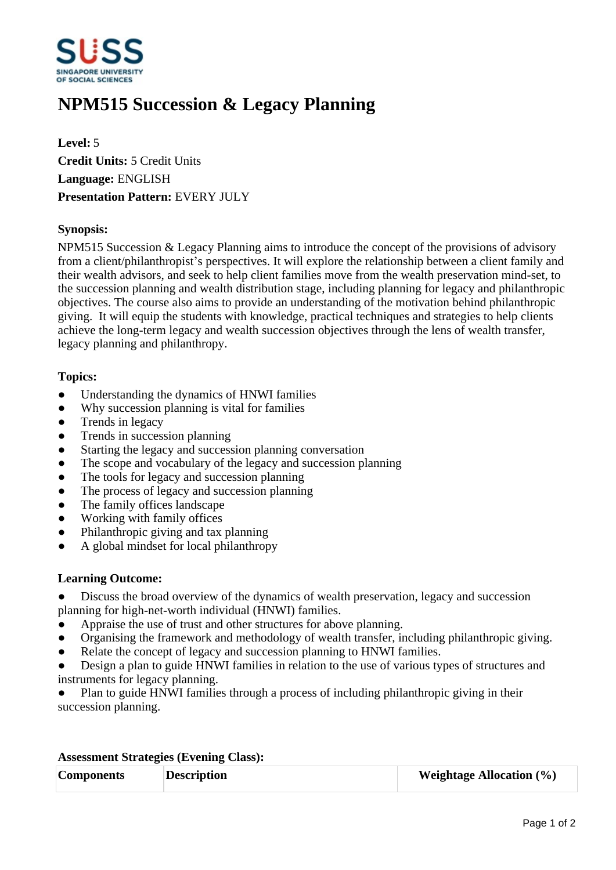

# **NPM515 Succession & Legacy Planning**

**Level:** 5 **Credit Units:** 5 Credit Units **Language:** ENGLISH **Presentation Pattern:** EVERY JULY

# **Synopsis:**

NPM515 Succession & Legacy Planning aims to introduce the concept of the provisions of advisory from a client/philanthropist's perspectives. It will explore the relationship between a client family and their wealth advisors, and seek to help client families move from the wealth preservation mind-set, to the succession planning and wealth distribution stage, including planning for legacy and philanthropic objectives. The course also aims to provide an understanding of the motivation behind philanthropic giving. It will equip the students with knowledge, practical techniques and strategies to help clients achieve the long-term legacy and wealth succession objectives through the lens of wealth transfer, legacy planning and philanthropy.

# **Topics:**

- Understanding the dynamics of HNWI families
- Why succession planning is vital for families
- ƔTrends in legacy
- Trends in succession planning
- Starting the legacy and succession planning conversation
- The scope and vocabulary of the legacy and succession planning
- ƔThe tools for legacy and succession planning
- The process of legacy and succession planning
- The family offices landscape
- Working with family offices
- Philanthropic giving and tax planning
- ƔA global mindset for local philanthropy

### **Learning Outcome:**

• Discuss the broad overview of the dynamics of wealth preservation, legacy and succession planning for high-net-worth individual (HNWI) families.

- Appraise the use of trust and other structures for above planning.
- Organising the framework and methodology of wealth transfer, including philanthropic giving.
- Relate the concept of legacy and succession planning to HNWI families.
- Design a plan to guide HNWI families in relation to the use of various types of structures and instruments for legacy planning.

Plan to guide HNWI families through a process of including philanthropic giving in their succession planning.

### **Assessment Strategies (Evening Class):**

| <b>Components</b> | <b>Description</b> | <b>Weightage Allocation</b> $(\%)$ |
|-------------------|--------------------|------------------------------------|
|                   |                    |                                    |